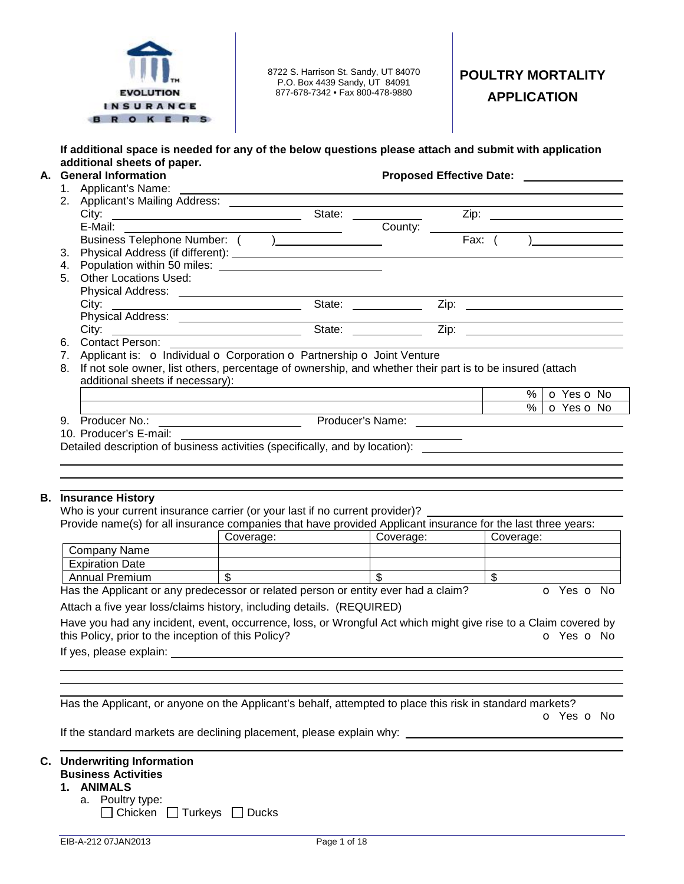

8722 S. Harrison St. Sandy, UT 84070 P.O. Box 4439 Sandy, UT 84091 877-678-7342 • Fax 800-478-9880

# **POULTRY MORTALITY APPLICATION**

## **If additional space is needed for any of the below questions please attach and submit with application additional sheets of paper.**

# **A. General Information Proposed Effective Date:**

1. Applicant's Name:

|    | Applicant's Name:                                                                                        | the contract of the contract of the contract of the contract of the contract of the contract of the |         |      |      |                                                                                                                         |
|----|----------------------------------------------------------------------------------------------------------|-----------------------------------------------------------------------------------------------------|---------|------|------|-------------------------------------------------------------------------------------------------------------------------|
| 2. |                                                                                                          |                                                                                                     |         |      |      |                                                                                                                         |
|    |                                                                                                          | State:                                                                                              |         |      |      |                                                                                                                         |
|    |                                                                                                          |                                                                                                     | County: |      |      | <u> 1989 - Johann Stoff, deutscher Stoffen und der Stoffen und der Stoffen und der Stoffen und der Stoffen und der </u> |
|    |                                                                                                          |                                                                                                     |         | Fax: |      |                                                                                                                         |
| 3. |                                                                                                          |                                                                                                     |         |      |      |                                                                                                                         |
| 4. |                                                                                                          |                                                                                                     |         |      |      |                                                                                                                         |
| 5. | <b>Other Locations Used:</b>                                                                             |                                                                                                     |         |      |      |                                                                                                                         |
|    |                                                                                                          |                                                                                                     |         |      |      |                                                                                                                         |
|    |                                                                                                          | State:                                                                                              |         | Zip: |      |                                                                                                                         |
|    |                                                                                                          |                                                                                                     |         |      |      |                                                                                                                         |
|    |                                                                                                          | State:                                                                                              |         | Zip: |      |                                                                                                                         |
| 6. | Contact Person:                                                                                          |                                                                                                     |         |      |      |                                                                                                                         |
| 7. | Applicant is: o Individual o Corporation o Partnership o Joint Venture                                   |                                                                                                     |         |      |      |                                                                                                                         |
| 8. | If not sole owner, list others, percentage of ownership, and whether their part is to be insured (attach |                                                                                                     |         |      |      |                                                                                                                         |
|    | additional sheets if necessary):                                                                         |                                                                                                     |         |      |      |                                                                                                                         |
|    |                                                                                                          |                                                                                                     |         |      | $\%$ | O Yes O No                                                                                                              |
|    |                                                                                                          |                                                                                                     |         |      | $\%$ | <b>O</b> Yes <b>O</b> No                                                                                                |
| 9. | Producer No.:                                                                                            | Producer's Name:                                                                                    |         |      |      |                                                                                                                         |

10. Producer's E-mail:

#### **B. Insurance History**

Who is your current insurance carrier (or your last if no current provider)?

| Provide name(s) for all insurance companies that have provided Applicant insurance for the last three years:                                                                                                                               |           |  |  |  |  |  |  |  |
|--------------------------------------------------------------------------------------------------------------------------------------------------------------------------------------------------------------------------------------------|-----------|--|--|--|--|--|--|--|
|                                                                                                                                                                                                                                            | Coverage: |  |  |  |  |  |  |  |
| Company Name                                                                                                                                                                                                                               |           |  |  |  |  |  |  |  |
| <b>Expiration Date</b>                                                                                                                                                                                                                     |           |  |  |  |  |  |  |  |
| <b>Annual Premium</b>                                                                                                                                                                                                                      |           |  |  |  |  |  |  |  |
| Has the Applicant or any predecessor or related person or entity ever had a claim?<br>O Yes O No                                                                                                                                           |           |  |  |  |  |  |  |  |
| $\mathcal{L}_{\mathcal{L}}$ , and the contract of the contract of the contract of the contract of the contract of the contract of the contract of the contract of the contract of the contract of the contract of the contract of the cont |           |  |  |  |  |  |  |  |

Attach a five year loss/claims history, including details. (REQUIRED)

| Have you had any incident, event, occurrence, loss, or Wrongful Act which might give rise to a Claim covered by |  |            |
|-----------------------------------------------------------------------------------------------------------------|--|------------|
| this Policy, prior to the inception of this Policy?                                                             |  | o Yes o No |

If yes, please explain:

 Has the Applicant, or anyone on the Applicant's behalf, attempted to place this risk in standard markets?

o Yes o No

If the standard markets are declining placement, please explain why:

# **C. Underwriting Information**

# **Business Activities**

- **1. ANIMALS** 
	- a. Poultry type:
		- $\Box$  Chicken  $\Box$  Turkeys  $\Box$  Ducks

Detailed description of business activities (specifically, and by location):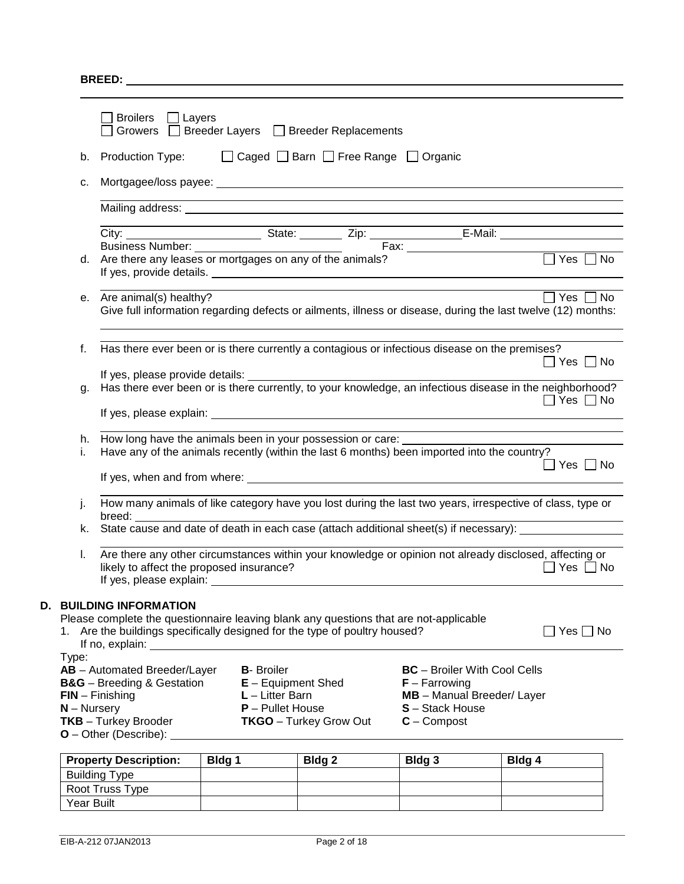**BREED:** 

|                         | <b>Broilers</b><br>Layers<br>$\mathbf{1}$                                                                                 | Growers □ Breeder Layers □ Breeder Replacements                                                                                                                                                                                                                                                                               |                                                                                                                                                                                                                                      |                      |
|-------------------------|---------------------------------------------------------------------------------------------------------------------------|-------------------------------------------------------------------------------------------------------------------------------------------------------------------------------------------------------------------------------------------------------------------------------------------------------------------------------|--------------------------------------------------------------------------------------------------------------------------------------------------------------------------------------------------------------------------------------|----------------------|
| b.                      | <b>Production Type:</b>                                                                                                   | □ Caged □ Barn □ Free Range □ Organic                                                                                                                                                                                                                                                                                         |                                                                                                                                                                                                                                      |                      |
| c.                      |                                                                                                                           |                                                                                                                                                                                                                                                                                                                               |                                                                                                                                                                                                                                      |                      |
|                         |                                                                                                                           |                                                                                                                                                                                                                                                                                                                               |                                                                                                                                                                                                                                      |                      |
|                         |                                                                                                                           |                                                                                                                                                                                                                                                                                                                               |                                                                                                                                                                                                                                      |                      |
| d.                      |                                                                                                                           | Are there any leases or mortgages on any of the animals?                                                                                                                                                                                                                                                                      |                                                                                                                                                                                                                                      |                      |
|                         | e. Are animal(s) healthy?                                                                                                 | Give full information regarding defects or ailments, illness or disease, during the last twelve (12) months:                                                                                                                                                                                                                  | <u>and the state of the state of the state of the state of the state of the state of the state of the state of the state of the state of the state of the state of the state of the state of the state of the state of the state</u> | $\Box$ Yes $\Box$ No |
| f.                      |                                                                                                                           | Has there ever been or is there currently a contagious or infectious disease on the premises?                                                                                                                                                                                                                                 |                                                                                                                                                                                                                                      | $\Box$ Yes $\Box$ No |
| g.                      |                                                                                                                           |                                                                                                                                                                                                                                                                                                                               |                                                                                                                                                                                                                                      | $\Box$ Yes $\Box$ No |
|                         |                                                                                                                           |                                                                                                                                                                                                                                                                                                                               |                                                                                                                                                                                                                                      |                      |
| h.                      |                                                                                                                           | How long have the animals been in your possession or care:                                                                                                                                                                                                                                                                    |                                                                                                                                                                                                                                      |                      |
| i.                      |                                                                                                                           | Have any of the animals recently (within the last 6 months) been imported into the country?<br>If yes, when and from where: example and the state of the state of the state of the state of the state of the state of the state of the state of the state of the state of the state of the state of the state of the state of |                                                                                                                                                                                                                                      | Yes     No           |
| j.                      |                                                                                                                           | How many animals of like category have you lost during the last two years, irrespective of class, type or                                                                                                                                                                                                                     |                                                                                                                                                                                                                                      |                      |
| k.                      | breed:                                                                                                                    | State cause and date of death in each case (attach additional sheet(s) if necessary):                                                                                                                                                                                                                                         |                                                                                                                                                                                                                                      |                      |
|                         |                                                                                                                           |                                                                                                                                                                                                                                                                                                                               |                                                                                                                                                                                                                                      |                      |
| I.                      | likely to affect the proposed insurance?                                                                                  | Are there any other circumstances within your knowledge or opinion not already disclosed, affecting or                                                                                                                                                                                                                        |                                                                                                                                                                                                                                      | ⊃Yes ∩No             |
|                         | <b>D. BUILDING INFORMATION</b>                                                                                            |                                                                                                                                                                                                                                                                                                                               |                                                                                                                                                                                                                                      |                      |
|                         |                                                                                                                           | Please complete the questionnaire leaving blank any questions that are not-applicable<br>1. Are the buildings specifically designed for the type of poultry housed?                                                                                                                                                           |                                                                                                                                                                                                                                      | $\Box$ Yes $\Box$ No |
| Type:<br>$N - N$ ursery | AB - Automated Breeder/Layer<br><b>B&amp;G</b> - Breeding & Gestation<br>$FIN - Finishing$<br><b>TKB</b> - Turkey Brooder | <b>B-</b> Broiler<br>$E -$ Equipment Shed<br>$L$ – Litter Barn<br>$P -$ Pullet House<br><b>TKGO</b> - Turkey Grow Out                                                                                                                                                                                                         | <b>BC</b> - Broiler With Cool Cells<br>$F - Farrowing$<br>MB - Manual Breeder/ Layer<br>S-Stack House<br>$C -$ Compost                                                                                                               |                      |
|                         |                                                                                                                           |                                                                                                                                                                                                                                                                                                                               |                                                                                                                                                                                                                                      |                      |

| <b>Property Description:</b> | Bldg 1 | Bldg <sub>2</sub> | Bldg 3 | Bldg 4 |
|------------------------------|--------|-------------------|--------|--------|
| <b>Building Type</b>         |        |                   |        |        |
| Root Truss Type              |        |                   |        |        |
| Year Built                   |        |                   |        |        |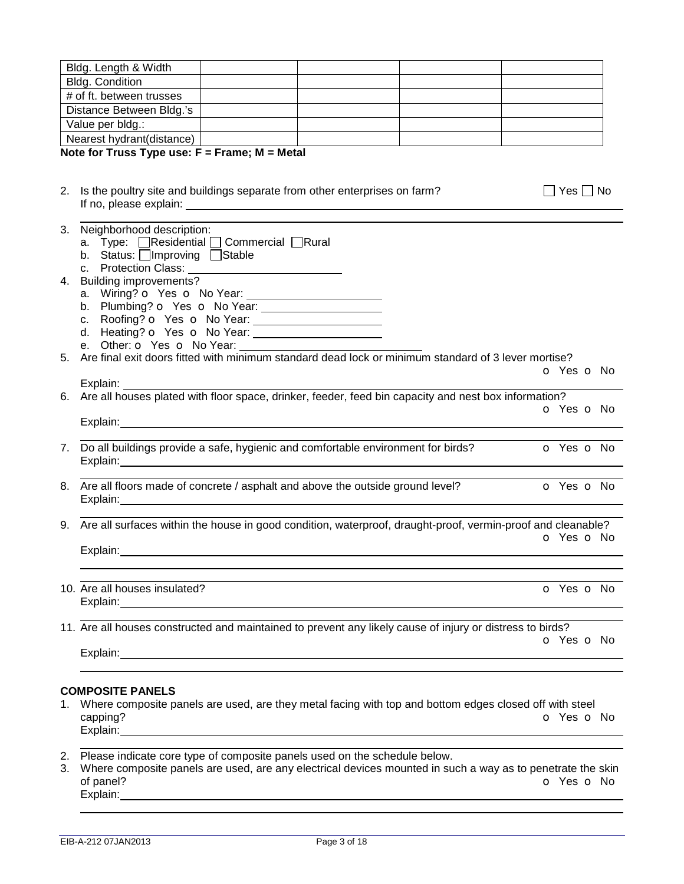|    | Bldg. Length & Width                                                                                                                                                                                                                                                                                                                                 |                      |
|----|------------------------------------------------------------------------------------------------------------------------------------------------------------------------------------------------------------------------------------------------------------------------------------------------------------------------------------------------------|----------------------|
|    | Bldg. Condition                                                                                                                                                                                                                                                                                                                                      |                      |
|    | # of ft. between trusses                                                                                                                                                                                                                                                                                                                             |                      |
|    | Distance Between Bldg.'s                                                                                                                                                                                                                                                                                                                             |                      |
|    | Value per bldg.:                                                                                                                                                                                                                                                                                                                                     |                      |
|    | Nearest hydrant(distance)                                                                                                                                                                                                                                                                                                                            |                      |
|    | Note for Truss Type use: $F =$ Frame; M = Metal                                                                                                                                                                                                                                                                                                      |                      |
|    |                                                                                                                                                                                                                                                                                                                                                      |                      |
|    | 2. Is the poultry site and buildings separate from other enterprises on farm?                                                                                                                                                                                                                                                                        | $\Box$ Yes $\Box$ No |
|    | 3. Neighborhood description:<br>a. Type: <b>OResidential OCommercial ORural</b><br>b. Status: Improving Stable                                                                                                                                                                                                                                       |                      |
|    | 4. Building improvements?                                                                                                                                                                                                                                                                                                                            |                      |
|    |                                                                                                                                                                                                                                                                                                                                                      |                      |
|    | e. Other: $\overline{\text{O}}$ Yes $\overline{\text{O}}$ No Year: $\overline{\text{O}}$<br>5. Are final exit doors fitted with minimum standard dead lock or minimum standard of 3 lever mortise?                                                                                                                                                   | O Yes O No           |
|    | Explain:<br>6. Are all houses plated with floor space, drinker, feeder, feed bin capacity and nest box information?                                                                                                                                                                                                                                  | O Yes O No           |
|    |                                                                                                                                                                                                                                                                                                                                                      |                      |
| 7. | Do all buildings provide a safe, hygienic and comfortable environment for birds?                                                                                                                                                                                                                                                                     | O Yes O No           |
|    | 8. Are all floors made of concrete / asphalt and above the outside ground level?<br>Explain: explain:                                                                                                                                                                                                                                                | o Yes o No           |
|    | 9. Are all surfaces within the house in good condition, waterproof, draught-proof, vermin-proof and cleanable?                                                                                                                                                                                                                                       |                      |
|    | Explain:                                                                                                                                                                                                                                                                                                                                             | O Yes O No           |
|    |                                                                                                                                                                                                                                                                                                                                                      |                      |
|    | 10. Are all houses insulated?<br>Explain: The contract of the contract of the contract of the contract of the contract of the contract of the contract of the contract of the contract of the contract of the contract of the contract of the contract of the c                                                                                      | O Yes O No           |
|    | 11. Are all houses constructed and maintained to prevent any likely cause of injury or distress to birds?                                                                                                                                                                                                                                            | O Yes O No           |
|    |                                                                                                                                                                                                                                                                                                                                                      |                      |
|    | <b>COMPOSITE PANELS</b>                                                                                                                                                                                                                                                                                                                              |                      |
| 1. | Where composite panels are used, are they metal facing with top and bottom edges closed off with steel<br>capping?<br>Explain: explaint and the state of the state of the state of the state of the state of the state of the state of the state of the state of the state of the state of the state of the state of the state of the state of the s | O Yes O No           |
| 2. |                                                                                                                                                                                                                                                                                                                                                      |                      |
| 3. | Please indicate core type of composite panels used on the schedule below.<br>Where composite panels are used, are any electrical devices mounted in such a way as to penetrate the skin<br>of panel?<br>Explain:                                                                                                                                     | O Yes O No           |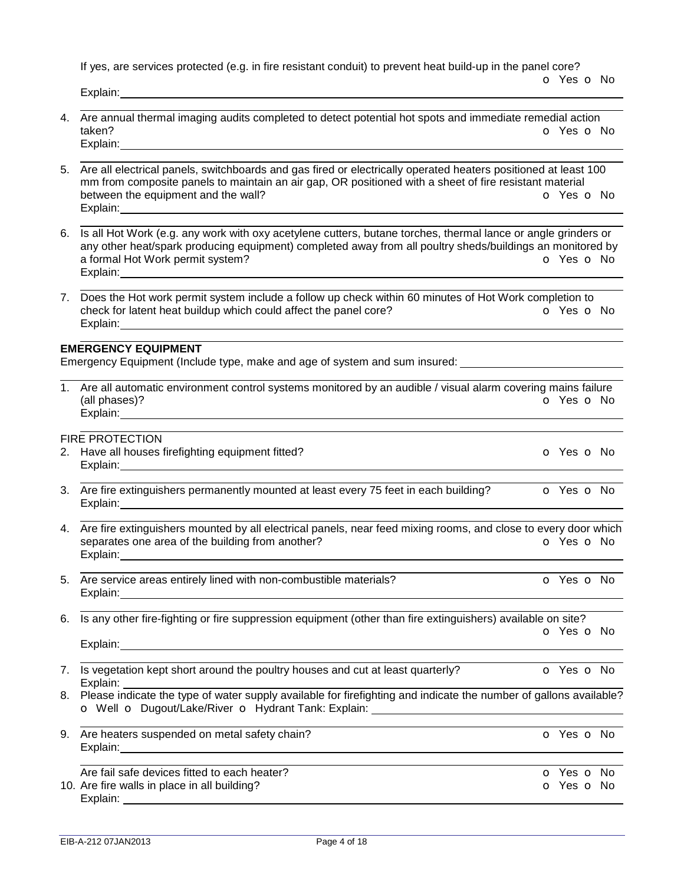If yes, are services protected (e.g. in fire resistant conduit) to prevent heat build-up in the panel core?

o Yes o No

Explain: 

- 4. Are annual thermal imaging audits completed to detect potential hot spots and immediate remedial action<br>taken?  $\bullet$  Yes  $\bullet$  I o Yes o No Explain:
- 5. Are all electrical panels, switchboards and gas fired or electrically operated heaters positioned at least 100 mm from composite panels to maintain an air gap, OR positioned with a sheet of fire resistant material between the equipment and the wall? **between the equipment and the wall? o** Yes **o** No Explain:
- 6. Is all Hot Work (e.g. any work with oxy acetylene cutters, butane torches, thermal lance or angle grinders or any other heat/spark producing equipment) completed away from all poultry sheds/buildings an monitored by a formal Hot Work permit system? COME CONSERVERSE CONSERVERSE CONSERVERSE CONSERVERSE CONSERVERSE CONSERVERSE CONSERVERSE CONSERVERSE CONSERVERSE CONSERVERSE CONSERVERSE CONSERVERSE CONSERVERSE CONSERVERSE CONSERVERSE CONS Explain:
- 7. Does the Hot work permit system include a follow up check within 60 minutes of Hot Work completion to check for latent heat buildup which could affect the panel core? **o** Yes **o** No Explain:

#### **EMERGENCY EQUIPMENT**

Emergency Equipment (Include type, make and age of system and sum insured:

| Are all automatic environment control systems monitored by an audible / visual alarm covering mains failure |  |
|-------------------------------------------------------------------------------------------------------------|--|
| o Yes o No<br>(all phases)?                                                                                 |  |
| Explain:                                                                                                    |  |

## FIRE PROTECTION

- 2. Have all houses firefighting equipment fitted? Case of No. 2. The Case of No. 2. The Case of No. 2. The Case of No Explain:
- 3. Are fire extinguishers permanently mounted at least every 75 feet in each building? **o** Yes **o** No Explain:
- 4. Are fire extinguishers mounted by all electrical panels, near feed mixing rooms, and close to every door which separates one area of the building from another? **o** Yes **o** No Explain:
- 5. Are service areas entirely lined with non-combustible materials? **O Yes O No** Explain: explain:

6. Is any other fire-fighting or fire suppression equipment (other than fire extinguishers) available on site? o Yes o No Explain:

| EXPIAIII.                                                                         |                          |
|-----------------------------------------------------------------------------------|--------------------------|
| 7. Is vegetation kept short around the poultry houses and cut at least quarterly? | <b>o</b> Yes <b>o</b> No |

- Explain: 8. Please indicate the type of water supply available for firefighting and indicate the number of gallons available? o Well o Dugout/Lake/River o Hydrant Tank: Explain:
- 9. Are heaters suspended on metal safety chain? The contract of the contract of Yes of No. Explain: Are fail safe devices fitted to each heater?<br>
Are fire walls in place in all building?<br>
O Yes O No 10. Are fire walls in place in all building? Explain: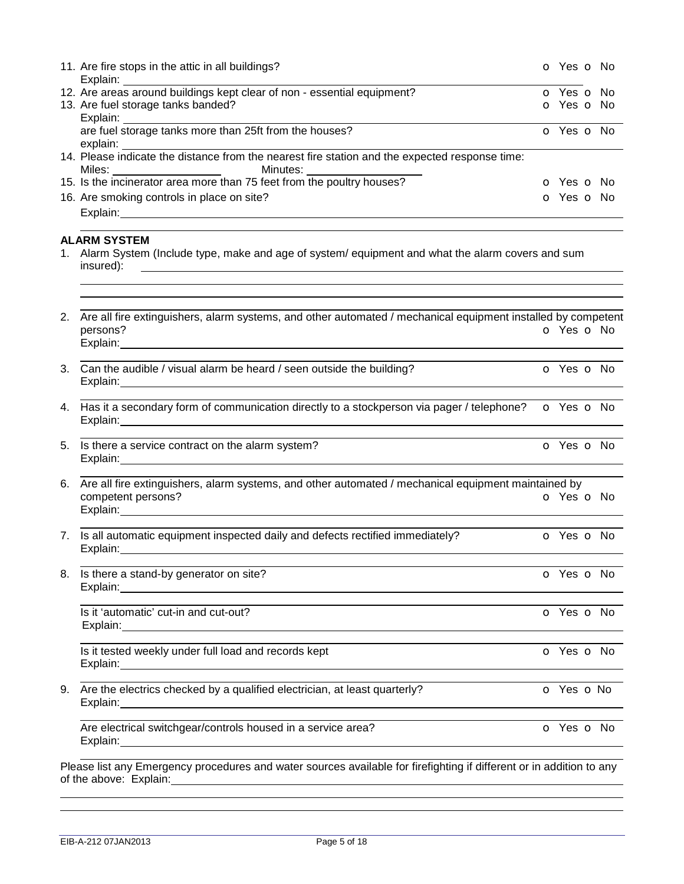|    | 11. Are fire stops in the attic in all buildings?<br>Explain:                                                                                                                                                                                                                                                                                                        | o Yes o No               |                          |
|----|----------------------------------------------------------------------------------------------------------------------------------------------------------------------------------------------------------------------------------------------------------------------------------------------------------------------------------------------------------------------|--------------------------|--------------------------|
|    | 12. Are areas around buildings kept clear of non - essential equipment?                                                                                                                                                                                                                                                                                              | o Yes o No               |                          |
|    | 13. Are fuel storage tanks banded?                                                                                                                                                                                                                                                                                                                                   | O Yes O No               |                          |
|    |                                                                                                                                                                                                                                                                                                                                                                      |                          |                          |
|    |                                                                                                                                                                                                                                                                                                                                                                      | o Yes o No               |                          |
|    |                                                                                                                                                                                                                                                                                                                                                                      |                          |                          |
|    | Miles: Minutes: Minutes: Minutes: 15. Is the incinerator area more than 75 feet from the poultry houses?                                                                                                                                                                                                                                                             |                          |                          |
|    |                                                                                                                                                                                                                                                                                                                                                                      | <b>o</b> Yes <b>o</b> No |                          |
|    | 16. Are smoking controls in place on site?                                                                                                                                                                                                                                                                                                                           | O Yes O No               |                          |
|    |                                                                                                                                                                                                                                                                                                                                                                      |                          |                          |
|    | <b>ALARM SYSTEM</b>                                                                                                                                                                                                                                                                                                                                                  |                          |                          |
|    | Alarm System (Include type, make and age of system/equipment and what the alarm covers and sum<br>insured):<br><u> 1989 - Andrea Stadt Britain, amerikansk politik (d. 1989)</u>                                                                                                                                                                                     |                          |                          |
|    | 2. Are all fire extinguishers, alarm systems, and other automated / mechanical equipment installed by competent                                                                                                                                                                                                                                                      |                          |                          |
|    | persons?<br>Explain: explain: explaint and the second state of the second state of the second state of the second state of                                                                                                                                                                                                                                           | O Yes O No               |                          |
|    | 3. Can the audible / visual alarm be heard / seen outside the building?<br>Explain: 2008 2014 2022 2023 2024 2024 2022 2022 2023 2024 2022 2023 2024 2022 2023 2024 2022 2023 2024 2022 20                                                                                                                                                                           | o Yes o No               |                          |
|    | 4. Has it a secondary form of communication directly to a stockperson via pager / telephone? o Yes o No                                                                                                                                                                                                                                                              |                          |                          |
|    | 5. Is there a service contract on the alarm system?<br>Explain: 2008 2014 2022 2023 2024 2024 2022 2022 2023 2024 2022 2023 2024 2022 2023 2024 2022 2023 2024 2022 20                                                                                                                                                                                               | O Yes O No               |                          |
|    | 6. Are all fire extinguishers, alarm systems, and other automated / mechanical equipment maintained by<br>competent persons?<br>Explain: <u>contract and contract and contract and contract and contract and contract and contract and contract and contract and contract and contract and contract and contract and contract and contract and contract and cont</u> | o Yes o No               |                          |
| 7. | Is all automatic equipment inspected daily and defects rectified immediately?<br>Explain: 2008 2014 2022 2023 2024 2024 2022 2022 2023 2024 2022 2023 2024 2022 2023 2024 2022 2023 2024 2022 20                                                                                                                                                                     | o Yes o No               |                          |
| 8. | Is there a stand-by generator on site?                                                                                                                                                                                                                                                                                                                               | o Yes o No               |                          |
|    | Is it 'automatic' cut-in and cut-out?                                                                                                                                                                                                                                                                                                                                | o Yes o No               |                          |
|    | Is it tested weekly under full load and records kept<br>Explain: Note and the second contract of the second contract of the second contract of the second contract of the second contract of the second contract of the second contract of the second contract of the second contract                                                                                |                          | <b>o</b> Yes <b>o</b> No |
| 9. | Are the electrics checked by a qualified electrician, at least quarterly?                                                                                                                                                                                                                                                                                            | o Yes o No               |                          |
|    | <u> 1980 - Andrea Andrew Maria (h. 1980).</u><br>Are electrical switchgear/controls housed in a service area?                                                                                                                                                                                                                                                        | o Yes o No               |                          |
|    | Please list any Emergency procedures and water sources available for firefighting if different or in addition to any                                                                                                                                                                                                                                                 |                          |                          |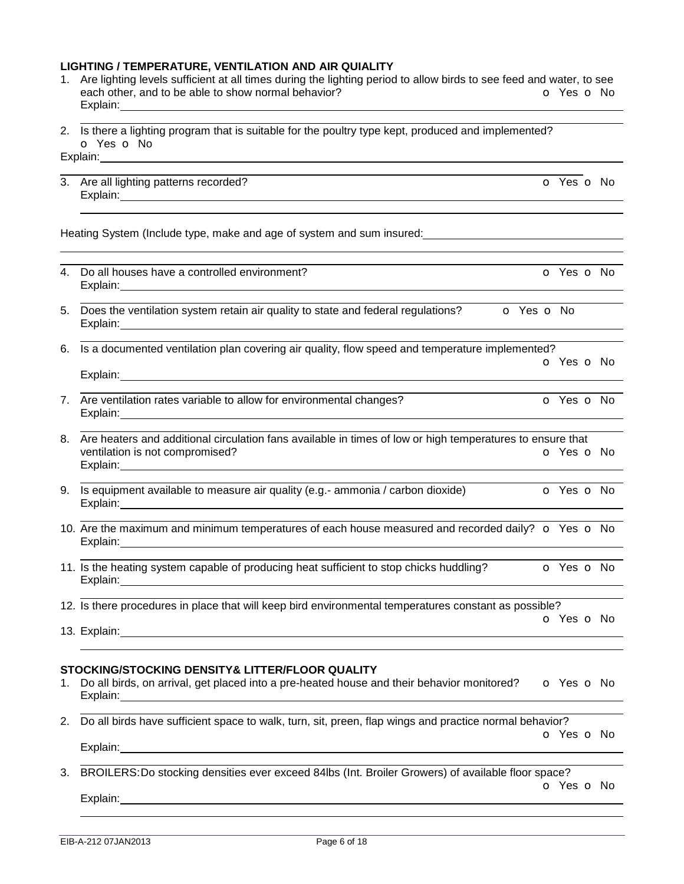#### **LIGHTING / TEMPERATURE, VENTILATION AND AIR QUIALITY**

- 1. Are lighting levels sufficient at all times during the lighting period to allow birds to see feed and water, to see each other, and to be able to show normal behavior? **o** Yes **o** No Explain:
- 2. Is there a lighting program that is suitable for the poultry type kept, produced and implemented? o Yes o No

Explain:

Explain:

3. Are all lighting patterns recorded? Compared to the control of the control of Yes of No. The control of Yes of No Explain: Manual According to the According of the According of the According of the According of the According of the According of the According of the According of the According of the According of the According of the Ac 

Heating System (Include type, make and age of system and sum insured:

- 4. Do all houses have a controlled environment? Explain: The contract of the contract of the contract of the contract of the contract of the contract of the contract of the contract of the contract of the contract of the contract of the contract of the contract of the c
- 5. Does the ventilation system retain air quality to state and federal regulations?  $\bullet$  Yes  $\bullet$  No Explain:
- 6. Is a documented ventilation plan covering air quality, flow speed and temperature implemented? o Yes o No
- 7. Are ventilation rates variable to allow for environmental changes? **O** Yes **o** No Explain:
- 8. Are heaters and additional circulation fans available in times of low or high temperatures to ensure that ventilation is not compromised? **o** Yes **o** No Explain:
- 9. Is equipment available to measure air quality (e.g.- ammonia / carbon dioxide)  $\bullet$  Yes  $\bullet$  No Explain:
- 10. Are the maximum and minimum temperatures of each house measured and recorded daily?  $\circ$  Yes  $\circ$  No Explain:
- 11. Is the heating system capable of producing heat sufficient to stop chicks huddling?  $\bullet$  Yes  $\bullet$  No Explain:

 12. Is there procedures in place that will keep bird environmental temperatures constant as possible?

o Yes o No

13. Explain: 

# **STOCKING/STOCKING DENSITY& LITTER/FLOOR QUALITY**

- 1. Do all birds, on arrival, get placed into a pre-heated house and their behavior monitored? o Yes o No Explain:
- 2. Do all birds have sufficient space to walk, turn, sit, preen, flap wings and practice normal behavior? o Yes o No Explain: The contract of the contract of the contract of the contract of the contract of the contract of the contract of the contract of the contract of the contract of the contract of the contract of the contract of the c

 3. BROILERS:Do stocking densities ever exceed 84lbs (Int. Broiler Growers) of available floor space? o Yes o No

Explain: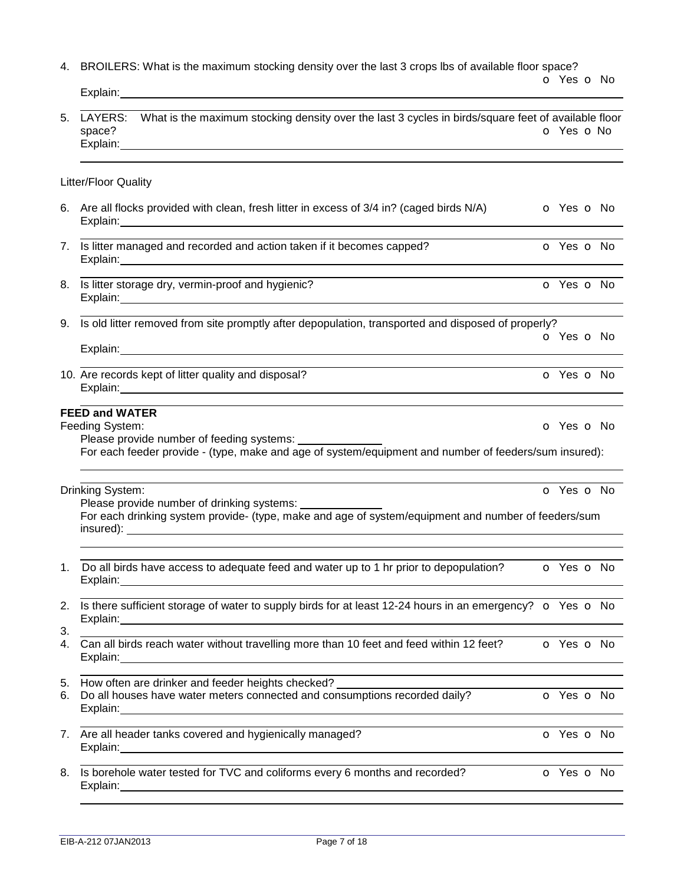4. BROILERS: What is the maximum stocking density over the last 3 crops lbs of available floor space?

|          | Explain:                                                                                                                                                                                                                                                                                                                           |  |            |
|----------|------------------------------------------------------------------------------------------------------------------------------------------------------------------------------------------------------------------------------------------------------------------------------------------------------------------------------------|--|------------|
| 5.       | LAYERS: What is the maximum stocking density over the last 3 cycles in birds/square feet of available floor<br>space?<br>Explain:<br><u> 1989 - Johann Stoff, deutscher Stoffen und der Stoffen und der Stoffen und der Stoffen und der Stoffen und der</u>                                                                        |  | O Yes O No |
|          | Litter/Floor Quality                                                                                                                                                                                                                                                                                                               |  |            |
|          | 6. Are all flocks provided with clean, fresh litter in excess of 3/4 in? (caged birds N/A)<br>Explain: <u>contract and contract and contract and contract and contract and contract and contract and contract and contract and contract and contract and contract and contract and contract and contract and contract and cont</u> |  | o Yes o No |
|          | 7. Is litter managed and recorded and action taken if it becomes capped?<br>Explain: <u>Contract Communication</u> Contract Communication Communication Communication Communication Communication                                                                                                                                  |  | O Yes O No |
|          | 8. Is litter storage dry, vermin-proof and hygienic?                                                                                                                                                                                                                                                                               |  | O Yes O No |
|          | 9. Is old litter removed from site promptly after depopulation, transported and disposed of properly?                                                                                                                                                                                                                              |  | O Yes O No |
|          | 10. Are records kept of litter quality and disposal?                                                                                                                                                                                                                                                                               |  | O Yes O No |
|          | <b>FEED and WATER</b><br>Feeding System:<br>Please provide number of feeding systems:<br>For each feeder provide - (type, make and age of system/equipment and number of feeders/sum insured):                                                                                                                                     |  | o Yes o No |
|          | Drinking System:<br>Please provide number of drinking systems: _________<br>For each drinking system provide- (type, make and age of system/equipment and number of feeders/sum                                                                                                                                                    |  | o Yes o No |
|          | 1. Do all birds have access to adequate feed and water up to 1 hr prior to depopulation?<br>Explain:                                                                                                                                                                                                                               |  | O Yes O No |
| 2.       | Is there sufficient storage of water to supply birds for at least 12-24 hours in an emergency? o Yes o No                                                                                                                                                                                                                          |  |            |
| 3.<br>4. | Can all birds reach water without travelling more than 10 feet and feed within 12 feet?<br>Explain: 1999 - 2009 - 2009 - 2010 - 2010 - 2010 - 2010 - 2010 - 2010 - 2010 - 2010 - 2010 - 2010 - 2010 - 20                                                                                                                           |  | o Yes o No |
| 5.<br>6. | How often are drinker and feeder heights checked?<br>Do all houses have water meters connected and consumptions recorded daily?<br>Explain:                                                                                                                                                                                        |  | o Yes o No |
| 7.       | Are all header tanks covered and hygienically managed?<br>Explain:<br><u> 1989 - Johann Stoff, Amerikaansk politiker († 1908)</u>                                                                                                                                                                                                  |  | O Yes O No |
| 8.       | Is borehole water tested for TVC and coliforms every 6 months and recorded?                                                                                                                                                                                                                                                        |  | O Yes O No |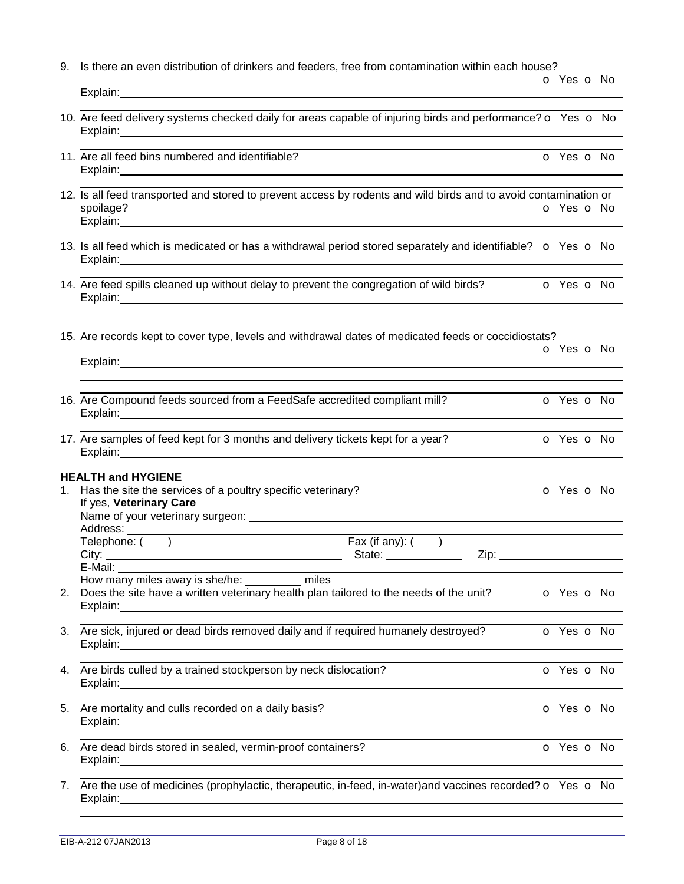| Explain: Explain                                                                                                                                                                                                                                                                   | $O$ Yes $O$ No |  |
|------------------------------------------------------------------------------------------------------------------------------------------------------------------------------------------------------------------------------------------------------------------------------------|----------------|--|
| 10. Are feed delivery systems checked daily for areas capable of injuring birds and performance? $\bullet$ Yes $\bullet$ No                                                                                                                                                        |                |  |
| 11. Are all feed bins numbered and identifiable?<br>Explain: The contract of the contract of the contract of the contract of the contract of the contract of the contract of the contract of the contract of the contract of the contract of the contract of the contract of the c | O Yes O No     |  |

9. Is there an even distribution of drinkers and feeders, free from contamination within each house?

- 12. Is all feed transported and stored to prevent access by rodents and wild birds and to avoid contamination or spoilage? o Yes o No Explain:
- 13. Is all feed which is medicated or has a withdrawal period stored separately and identifiable?  $\bullet$  Yes  $\bullet$  No Explain:
- 14. Are feed spills cleaned up without delay to prevent the congregation of wild birds?  $\bullet$  Yes  $\bullet$  No Explain:

o Yes o No

15. Are records kept to cover type, levels and withdrawal dates of medicated feeds or coccidiostats?

Explain: 

- 16. Are Compound feeds sourced from a FeedSafe accredited compliant mill? **O** Yes **o** No Explain:
- 17. Are samples of feed kept for 3 months and delivery tickets kept for a year?  $\bullet$  Yes  $\bullet$  No Explain:

# **HEALTH and HYGIENE**

| 1. | Has the site the services of a poultry specific veterinary?                                                                  |  |  | <b>o</b> Yes <b>o</b> No |                          |  |
|----|------------------------------------------------------------------------------------------------------------------------------|--|--|--------------------------|--------------------------|--|
|    | If yes, Veterinary Care                                                                                                      |  |  |                          |                          |  |
|    |                                                                                                                              |  |  |                          |                          |  |
|    |                                                                                                                              |  |  |                          |                          |  |
|    | Telephone: () Fax (if any): ()                                                                                               |  |  |                          |                          |  |
|    |                                                                                                                              |  |  | State: <u>Zip:</u> Zip:  |                          |  |
|    |                                                                                                                              |  |  |                          |                          |  |
|    | How many miles away is she/he: __________ miles                                                                              |  |  |                          |                          |  |
| 2. | Does the site have a written veterinary health plan tailored to the needs of the unit?<br>Explain: explain:                  |  |  |                          | o Yes o No               |  |
| 3. | Are sick, injured or dead birds removed daily and if required humanely destroyed?                                            |  |  |                          | o Yes o No               |  |
|    |                                                                                                                              |  |  |                          |                          |  |
|    | 4. Are birds culled by a trained stockperson by neck dislocation?                                                            |  |  |                          | O Yes O No               |  |
|    |                                                                                                                              |  |  |                          |                          |  |
|    | 5. Are mortality and culls recorded on a daily basis?                                                                        |  |  |                          | <b>o</b> Yes <b>o</b> No |  |
|    |                                                                                                                              |  |  |                          |                          |  |
| 6. | Are dead birds stored in sealed, vermin-proof containers?                                                                    |  |  |                          | O Yes O No               |  |
|    |                                                                                                                              |  |  |                          |                          |  |
|    | 7. Are the use of medicines (prophylactic, therapeutic, in-feed, in-water) and vaccines recorded? $\bullet$ Yes $\bullet$ No |  |  |                          |                          |  |
|    |                                                                                                                              |  |  |                          |                          |  |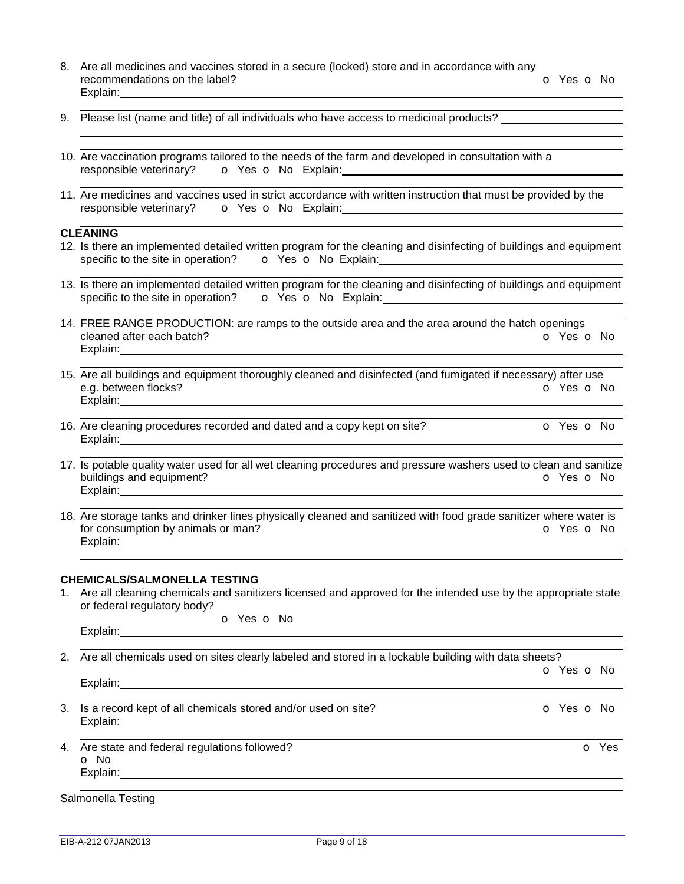- 8. Are all medicines and vaccines stored in a secure (locked) store and in accordance with any recommendations on the label? The Contract of Contract of Contract of Contract of Contract of Contract of Contract of Contract of Contract of Contract of Contract of Contract of Contract of Contract of Contract of Contract Explain:
- 9. Please list (name and title) of all individuals who have access to medicinal products?
- 10. Are vaccination programs tailored to the needs of the farm and developed in consultation with a responsible veterinary? o Yes o No Explain:
- 11. Are medicines and vaccines used in strict accordance with written instruction that must be provided by the responsible veterinary? o Yes o No Explain:

## **CLEANING**

 

- 12. Is there an implemented detailed written program for the cleaning and disinfecting of buildings and equipment specific to the site in operation? o Yes o No Explain:
- 13. Is there an implemented detailed written program for the cleaning and disinfecting of buildings and equipment specific to the site in operation? o Yes o No Explain:
- 14. FREE RANGE PRODUCTION: are ramps to the outside area and the area around the hatch openings cleaned after each batch? **o Yes o No** Explain:
- 15. Are all buildings and equipment thoroughly cleaned and disinfected (and fumigated if necessary) after use e.g. between flocks? **o** Yes **o** No Explain:
- 16. Are cleaning procedures recorded and dated and a copy kept on site? **o** o Yes **o** No Explain: The Contract of Texas and Texas and Texas and Texas and Texas and Texas and Texas and Texas and Texas and Texas and Texas and Texas and Texas and Texas and Texas and Texas and Texas and Texas and Texas and Texas a
- 17. Is potable quality water used for all wet cleaning procedures and pressure washers used to clean and sanitize buildings and equipment? **buildings and equipment? o** Yes **o** No Explain:
- 18. Are storage tanks and drinker lines physically cleaned and sanitized with food grade sanitizer where water is for consumption by animals or man? The Consumption by animals or man? Explain:

#### **CHEMICALS/SALMONELLA TESTING**

1. Are all cleaning chemicals and sanitizers licensed and approved for the intended use by the appropriate state or federal regulatory body?

|          | <b>O</b> Yes <b>O</b> No |  |
|----------|--------------------------|--|
| Explain: |                          |  |

2. Are all chemicals used on sites clearly labeled and stored in a lockable building with data sheets? o Yes o No

Explain: University of the set of the set of the set of the set of the set of the set of the set of the set of the set of the set of the set of the set of the set of the set of the set of the set of the set of the set of t 

- 3. Is a record kept of all chemicals stored and/or used on site?  $\bullet$  Yes  $\bullet$  No Explain:
- 4. Are state and federal regulations followed? Case of the state and federal regulations followed? o No Explain:

 Salmonella Testing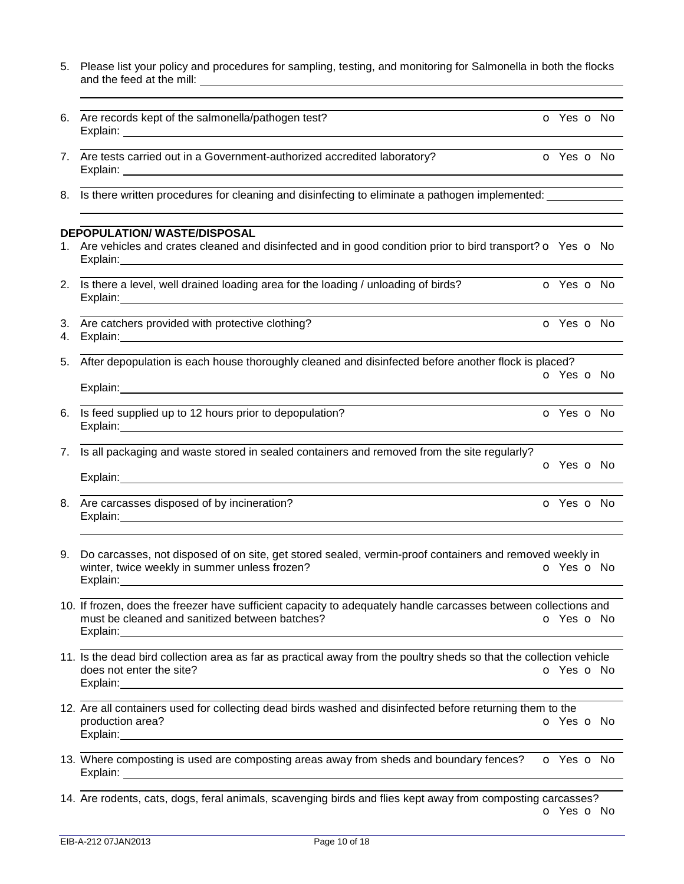- 5. Please list your policy and procedures for sampling, testing, and monitoring for Salmonella in both the flocks and the feed at the mill:
- 6. Are records kept of the salmonella/pathogen test? **o Yes o No** Explain:
- 7. Are tests carried out in a Government-authorized accredited laboratory? **The COV COV COV** Yes **O** No Explain: The contract of the contract of the contract of the contract of the contract of the contract of the contract of the contract of the contract of the contract of the contract of the contract of the contract of the c
- 8. Is there written procedures for cleaning and disinfecting to eliminate a pathogen implemented:

#### **DEPOPULATION/ WASTE/DISPOSAL**

- 1. Are vehicles and crates cleaned and disinfected and in good condition prior to bird transport?  $\circ$  Yes  $\circ$  No Explain:
- 2. Is there a level, well drained loading area for the loading / unloading of birds?  $\bullet$  Yes  $\bullet$  No Explain:
- 3. Are catchers provided with protective clothing? The Contract of Contract of Yes of No.
- 4. Explain:

 

5. After depopulation is each house thoroughly cleaned and disinfected before another flock is placed? o Yes o No

- 6. Is feed supplied up to 12 hours prior to depopulation? **o COVID-10** o Yes o No Explain:
- 7. Is all packaging and waste stored in sealed containers and removed from the site regularly? o Yes o No

| Explain: |  |  |  |
|----------|--|--|--|
|          |  |  |  |

- 8. Are carcasses disposed of by incineration? Case of the Carcasses disposed of by incineration? Explain:
- 9. Do carcasses, not disposed of on site, get stored sealed, vermin-proof containers and removed weekly in winter, twice weekly in summer unless frozen? Explain:
- 10. If frozen, does the freezer have sufficient capacity to adequately handle carcasses between collections and must be cleaned and sanitized between batches? **o** Yes **o** No Explain:
- 11. Is the dead bird collection area as far as practical away from the poultry sheds so that the collection vehicle does not enter the site? **o** Yes **o** No Explain:
- 12. Are all containers used for collecting dead birds washed and disinfected before returning them to the production area? **o Yes o No** Explain: The contract of the contract of the contract of the contract of the contract of the contract of the contract of the contract of the contract of the contract of the contract of the contract of the contract of the c
- 13. Where composting is used are composting areas away from sheds and boundary fences? **o** Yes **o** No Explain: The contract of the contract of the contract of the contract of the contract of the contract of the contract of the contract of the contract of the contract of the contract of the contract of the contract of the c
- 14. Are rodents, cats, dogs, feral animals, scavenging birds and flies kept away from composting carcasses? o Yes o No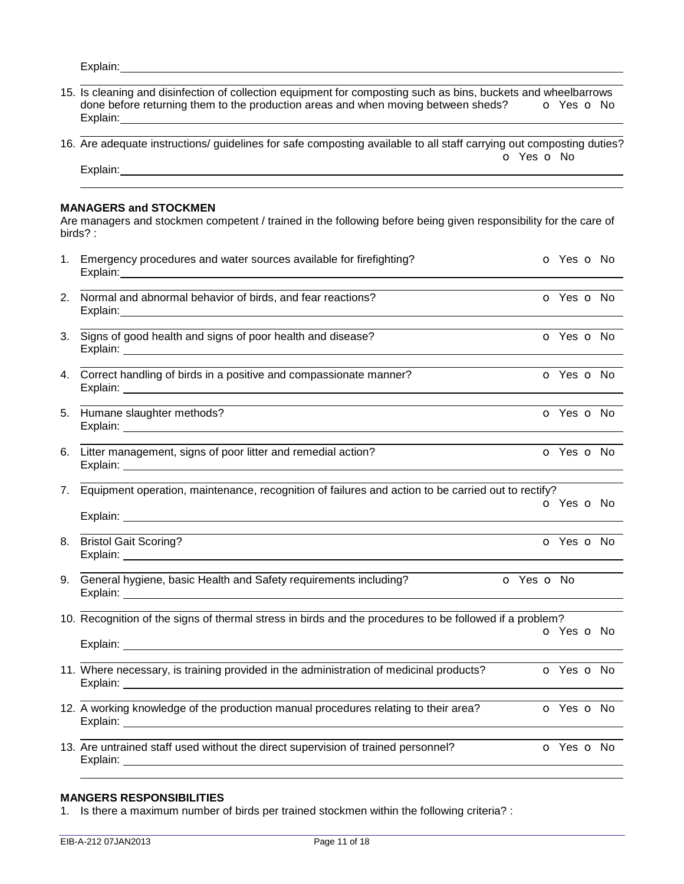Explain: 

- 15. Is cleaning and disinfection of collection equipment for composting such as bins, buckets and wheelbarrows done before returning them to the production areas and when moving between sheds?  $\bullet$  Yes  $\bullet$  No Explain:
- 16. Are adequate instructions/ guidelines for safe composting available to all staff carrying out composting duties? o Yes o No

Explain: Explain: 

#### **MANAGERS and STOCKMEN**

Are managers and stockmen competent / trained in the following before being given responsibility for the care of birds? :

| 1. | Emergency procedures and water sources available for firefighting?                                                                                                                                                                                                                                                                              |  |            |  |  |  |  |
|----|-------------------------------------------------------------------------------------------------------------------------------------------------------------------------------------------------------------------------------------------------------------------------------------------------------------------------------------------------|--|------------|--|--|--|--|
|    | 2. Normal and abnormal behavior of birds, and fear reactions?<br>Explain: Note of the Commission of the Commission of the Commission of the Commission of the Commission of the                                                                                                                                                                 |  |            |  |  |  |  |
|    | 3. Signs of good health and signs of poor health and disease?<br>Explain: North Communication of the Communication of the Communication of the Communication of the Communication of the Communication of the Communication of the Communication of the Communication of the Communication of t                                                 |  | O Yes O No |  |  |  |  |
|    | 4. Correct handling of birds in a positive and compassionate manner?                                                                                                                                                                                                                                                                            |  | O Yes O No |  |  |  |  |
|    | 5. Humane slaughter methods?<br>Explain: <u>2000 - 2000 - 2000 - 2000 - 2000 - 2000 - 2000 - 2000 - 2000 - 2000 - 2000 - 2000 - 2000 - 2000 - 2000 - 2000 - 2000 - 2000 - 2000 - 2000 - 2000 - 2000 - 2000 - 2000 - 2000 - 2000 - 2000 - 2000 - 2000 - 2000 - 20</u>                                                                            |  | O Yes O No |  |  |  |  |
|    | 6. Litter management, signs of poor litter and remedial action?<br>Explain: <u>Alexander Advisory and Alexander Advisory and Alexander Advisory and Alexander Advisory and Alexander</u>                                                                                                                                                        |  | O Yes O No |  |  |  |  |
| 7. | Equipment operation, maintenance, recognition of failures and action to be carried out to rectify?<br>Explain: <u>2000 - 2000 - 2000 - 2000 - 2000 - 2000 - 2000 - 2000 - 2000 - 2000 - 2000 - 2000 - 2000 - 2000 - 200</u>                                                                                                                     |  | O Yes O No |  |  |  |  |
|    | 8. Bristol Gait Scoring?                                                                                                                                                                                                                                                                                                                        |  | O Yes O No |  |  |  |  |
|    | 9. General hygiene, basic Health and Safety requirements including?<br>O Yes O No<br>Explain: <u>contract and contract and contract and contract and contract and contract and contract and contract and contract and contract and contract and contract and contract and contract and contract and contract and cont</u>                       |  |            |  |  |  |  |
|    | 10. Recognition of the signs of thermal stress in birds and the procedures to be followed if a problem?<br>Explain: <u>contract and contract and contract and contract and contract and contract and contract and contract and contract and contract and contract and contract and contract and contract and contract and contract and cont</u> |  | o Yes o No |  |  |  |  |
|    | 11. Where necessary, is training provided in the administration of medicinal products?<br>Explain: North American Communication of the Communication of the Communication of the Communication of the Communication of the Communication of the Communication of the Communication of the Communication of the Communica                        |  | o Yes o No |  |  |  |  |
|    | 12. A working knowledge of the production manual procedures relating to their area?                                                                                                                                                                                                                                                             |  | o Yes o No |  |  |  |  |
|    | 13. Are untrained staff used without the direct supervision of trained personnel?                                                                                                                                                                                                                                                               |  | O Yes O No |  |  |  |  |

# **MANGERS RESPONSIBILITIES**

1. Is there a maximum number of birds per trained stockmen within the following criteria? :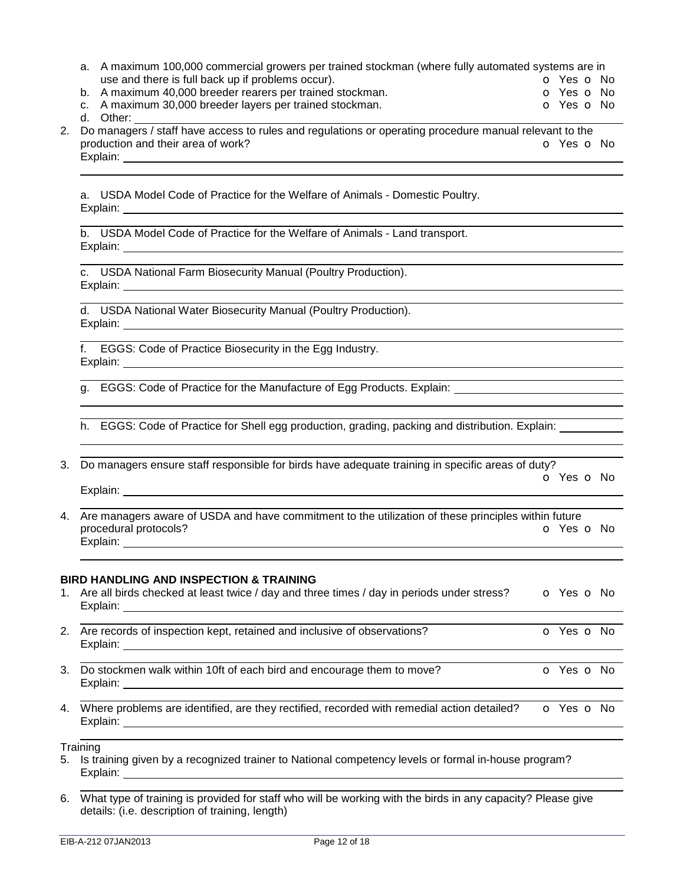- a. A maximum 100,000 commercial growers per trained stockman (where fully automated systems are in use and there is full back up if problems occur). The contract of the contract of Yes of No.
- b. A maximum 40,000 breeder rearers per trained stockman. **Example 20 verous CO** Yes **O** No
- c. A maximum 30,000 breeder layers per trained stockman. The Communication of Yes of No

d. Other:

2. Do managers / staff have access to rules and regulations or operating procedure manual relevant to the production and their area of work? **o** Yes **o** No Explain: Explain:

a. USDA Model Code of Practice for the Welfare of Animals - Domestic Poultry. Explain:

b. USDA Model Code of Practice for the Welfare of Animals - Land transport. Explain:

c. USDA National Farm Biosecurity Manual (Poultry Production). Explain: **Explain:** The contract of the contract of the contract of the contract of the contract of the contract of the contract of the contract of the contract of the contract of the contract of the contract of the contra

d. USDA National Water Biosecurity Manual (Poultry Production). Explain: The contract of the contract of the contract of the contract of the contract of the contract of the contract of the contract of the contract of the contract of the contract of the contract of the contract of the c

f. EGGS: Code of Practice Biosecurity in the Egg Industry. Explain:

g. EGGS: Code of Practice for the Manufacture of Egg Products. Explain:  $\overline{a}$ 

h. EGGS: Code of Practice for Shell egg production, grading, packing and distribution. Explain:  $\overline{a}$ 

3. Do managers ensure staff responsible for birds have adequate training in specific areas of duty? o Yes o No

Explain: Explain:

 4. Are managers aware of USDA and have commitment to the utilization of these principles within future procedural protocols? **o Yes o No** Explain:

### **BIRD HANDLING AND INSPECTION & TRAINING**

- 1. Are all birds checked at least twice / day and three times / day in periods under stress?  $\bullet$  Yes  $\bullet$  No Explain:
- 2. Are records of inspection kept, retained and inclusive of observations? **o** Yes **o** No Explain:
- 3. Do stockmen walk within 10ft of each bird and encourage them to move? **o** Yes **o** No Explain:
- 4. Where problems are identified, are they rectified, recorded with remedial action detailed?  $\bullet$  Yes  $\bullet$  No Explain:

**Training** 

- 5. Is training given by a recognized trainer to National competency levels or formal in-house program? Explain: explain: explain: explaint: explaint: explaint: explaint: explaint: explaint: explaint: explaint: explaint: explaint: explaint: explaint: explaint: explaint: explaint: explaint: explaint: explaint: explaint: expla
- 6. What type of training is provided for staff who will be working with the birds in any capacity? Please give details: (i.e. description of training, length)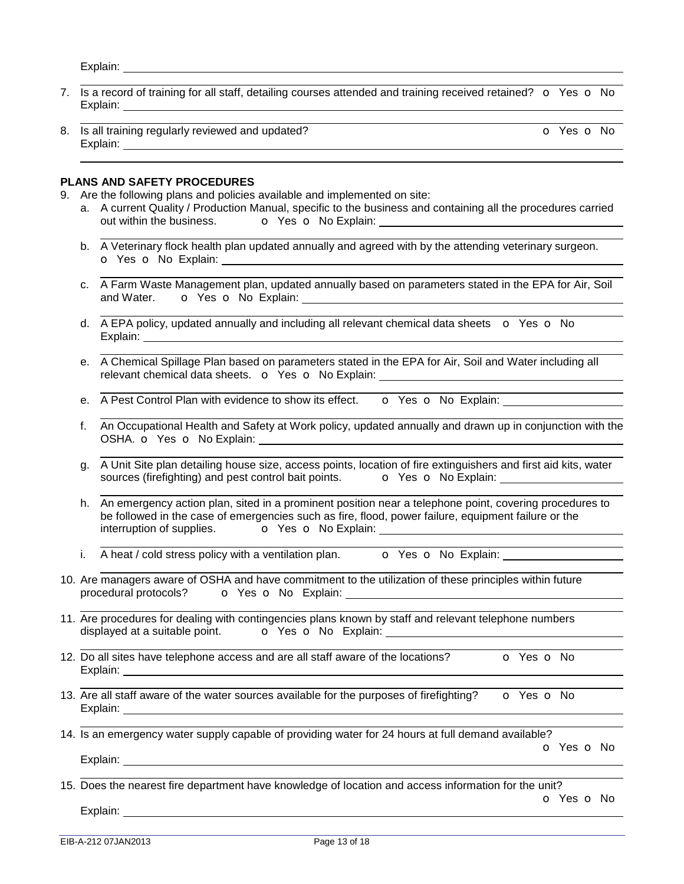Explain: 

- 7. Is a record of training for all staff, detailing courses attended and training received retained?  $\circ$  Yes  $\circ$  No Explain:
- 8. Is all training regularly reviewed and updated? **O Yes O No** Explain:

#### **PLANS AND SAFETY PROCEDURES**

- 9. Are the following plans and policies available and implemented on site:
	- a. A current Quality / Production Manual, specific to the business and containing all the procedures carried out within the business. o Yes o No Explain:
	- b. A Veterinary flock health plan updated annually and agreed with by the attending veterinary surgeon. o Yes o No Explain:
	- c. A Farm Waste Management plan, updated annually based on parameters stated in the EPA for Air, Soil and Water. o Yes o No Explain:
	- d.  $\overline{A}$  EPA policy, updated annually and including all relevant chemical data sheets  $\overline{O}$  Yes  $\overline{O}$  No Explain: The contract of the contract of the contract of the contract of the contract of the contract of the contract of the contract of the contract of the contract of the contract of the contract of the contract of the c
	- e. A Chemical Spillage Plan based on parameters stated in the EPA for Air, Soil and Water including all relevant chemical data sheets. o Yes o No Explain:
	- e. A Pest Control Plan with evidence to show its effect.  $\bullet$  Yes  $\bullet$  No Explain:
	- f. An Occupational Health and Safety at Work policy, updated annually and drawn up in conjunction with the OSHA. **o** Yes **o** No Explain:
	- g. A Unit Site plan detailing house size, access points, location of fire extinguishers and first aid kits, water sources (firefighting) and pest control bait points. **o** Yes **o** No Explain:
	- h. An emergency action plan, sited in a prominent position near a telephone point, covering procedures to be followed in the case of emergencies such as fire, flood, power failure, equipment failure or the interruption of supplies.  $\overline{\mathbf{O}}$  Yes  $\overline{\mathbf{O}}$  No Explain:
	- i. A heat / cold stress policy with a ventilation plan.  $\bullet$  Yes  $\bullet$  No Explain:
- 10. Are managers aware of OSHA and have commitment to the utilization of these principles within future procedural protocols? on Yes on No Explain:
- 11. Are procedures for dealing with contingencies plans known by staff and relevant telephone numbers displayed at a suitable point. <br>  $\overline{O}$  Yes  $\overline{O}$  No Explain: <u>\_\_\_\_\_\_\_\_\_\_\_\_\_\_\_\_\_\_\_\_\_\_\_\_\_\_\_\_\_\_\_</u>
- 12. Do all sites have telephone access and are all staff aware of the locations? **o** Yes **o** No Explain:
- 13. Are all staff aware of the water sources available for the purposes of firefighting?  $\bullet$  Yes  $\bullet$  No Explain: Explain:
- 14. Is an emergency water supply capable of providing water for 24 hours at full demand available?

o Yes o No

Explain: Explain: 

15. Does the nearest fire department have knowledge of location and access information for the unit? o Yes o No

Explain: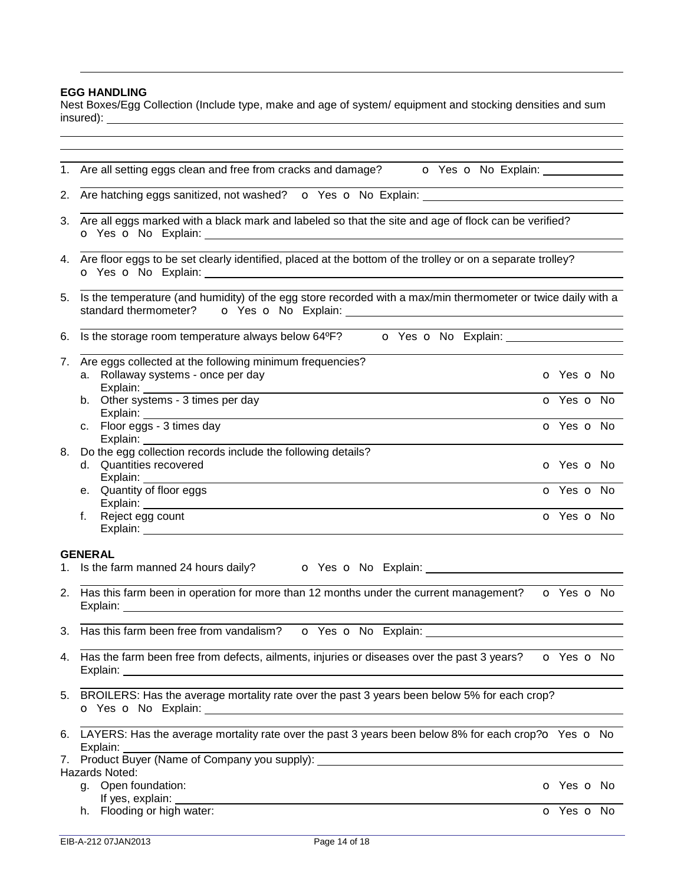# **EGG HANDLING**

Nest Boxes/Egg Collection (Include type, make and age of system/ equipment and stocking densities and sum insured):

|    | 1. Are all setting eggs clean and free from cracks and damage?<br><b>O</b> Yes <b>o</b> No Explain:                                                                                                                                                                                                                                                             |                          |  |  |  |  |  |  |
|----|-----------------------------------------------------------------------------------------------------------------------------------------------------------------------------------------------------------------------------------------------------------------------------------------------------------------------------------------------------------------|--------------------------|--|--|--|--|--|--|
|    | 2. Are hatching eggs sanitized, not washed? • O Yes O No Explain:                                                                                                                                                                                                                                                                                               |                          |  |  |  |  |  |  |
|    | 3. Are all eggs marked with a black mark and labeled so that the site and age of flock can be verified?                                                                                                                                                                                                                                                         |                          |  |  |  |  |  |  |
|    | 4. Are floor eggs to be set clearly identified, placed at the bottom of the trolley or on a separate trolley?                                                                                                                                                                                                                                                   |                          |  |  |  |  |  |  |
|    | 5. Is the temperature (and humidity) of the egg store recorded with a max/min thermometer or twice daily with a<br>standard thermometer? <b>o</b> Yes <b>o</b> No Explain: <b>complex Complex Complex Complex Complex Complex Complex Complex Complex Complex Complex Complex Complex Complex Complex Complex Complex Complex Complex Complex Complex Compl</b> |                          |  |  |  |  |  |  |
| 6. | Is the storage room temperature always below 64°F? <b>O</b> Yes <b>O</b> No Explain: <u>Constanting the storage room</u> temperature always below 64°F?                                                                                                                                                                                                         |                          |  |  |  |  |  |  |
| 7. | Are eggs collected at the following minimum frequencies?<br>a. Rollaway systems - once per day                                                                                                                                                                                                                                                                  | O Yes O No               |  |  |  |  |  |  |
|    | Explain: ________<br>b. Other systems - 3 times per day<br>Explain:                                                                                                                                                                                                                                                                                             | O Yes O No               |  |  |  |  |  |  |
|    | c. Floor eggs - 3 times day<br>Explain: Explain                                                                                                                                                                                                                                                                                                                 | O Yes O No               |  |  |  |  |  |  |
| 8. | Do the egg collection records include the following details?<br>d. Quantities recovered<br>Explain: __________                                                                                                                                                                                                                                                  | <b>o</b> Yes <b>o</b> No |  |  |  |  |  |  |
|    | e. Quantity of floor eggs<br>Explain: North Communication of the Communication of the Communication of the Communication of the Communication of the Communication of the Communication of the Communication of the Communication of the Communication of t                                                                                                     | O Yes O No               |  |  |  |  |  |  |
|    | f. Reject egg count                                                                                                                                                                                                                                                                                                                                             | O Yes O No               |  |  |  |  |  |  |
|    | <b>GENERAL</b>                                                                                                                                                                                                                                                                                                                                                  |                          |  |  |  |  |  |  |
|    | 1. Is the farm manned 24 hours daily? <b>O</b> Yes <b>O</b> No Explain: <u>Consequent Consequent</u> Consequent Consequent Consequent Consequent Consequent Consequent Consequent Consequent Consequent Consequent Consequent Consequent Cons                                                                                                                   |                          |  |  |  |  |  |  |
|    | 2. Has this farm been in operation for more than 12 months under the current management? $\bullet$ Yes $\bullet$ No                                                                                                                                                                                                                                             |                          |  |  |  |  |  |  |
|    | 3. Has this farm been free from vandalism?                                                                                                                                                                                                                                                                                                                      |                          |  |  |  |  |  |  |
|    | 4. Has the farm been free from defects, ailments, injuries or diseases over the past 3 years? • O Yes O No                                                                                                                                                                                                                                                      |                          |  |  |  |  |  |  |
|    | 5. BROILERS: Has the average mortality rate over the past 3 years been below 5% for each crop?                                                                                                                                                                                                                                                                  |                          |  |  |  |  |  |  |
| 6. | LAYERS: Has the average mortality rate over the past 3 years been below 8% for each crop? $\sigma$ Yes $\sigma$ No<br>Explain:                                                                                                                                                                                                                                  |                          |  |  |  |  |  |  |
| 7. |                                                                                                                                                                                                                                                                                                                                                                 |                          |  |  |  |  |  |  |
|    | Hazards Noted:                                                                                                                                                                                                                                                                                                                                                  |                          |  |  |  |  |  |  |
|    | g. Open foundation:<br>If yes, explain:                                                                                                                                                                                                                                                                                                                         | <b>o</b> Yes <b>o</b> No |  |  |  |  |  |  |
|    | h. Flooding or high water:                                                                                                                                                                                                                                                                                                                                      | o Yes o No               |  |  |  |  |  |  |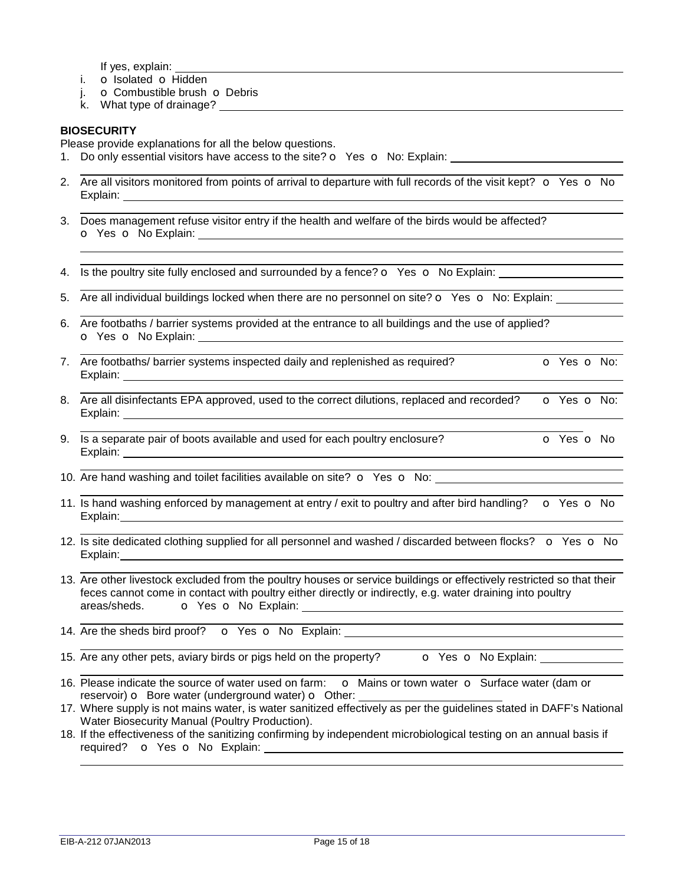If yes, explain:

- i. o Isolated o Hidden
- j. **o** Combustible brush **o** Debris
- k. What type of drainage?

## **BIOSECURITY**

 

Please provide explanations for all the below questions.

- 1. Do only essential visitors have access to the site?  $\bullet$  Yes  $\bullet$  No: Explain:
- 2. Are all visitors monitored from points of arrival to departure with full records of the visit kept?  $\bullet$  Yes  $\bullet$  No Explain: **Explain:**
- 3. Does management refuse visitor entry if the health and welfare of the birds would be affected? o Yes o No Explain:
- 4. Is the poultry site fully enclosed and surrounded by a fence?  $\bullet$  Yes  $\bullet$  No Explain:
- 5. Are all individual buildings locked when there are no personnel on site?  $\circ$  Yes  $\circ$  No: Explain:
- 6. Are footbaths / barrier systems provided at the entrance to all buildings and the use of applied? o Yes o No Explain:
- 7. Are footbaths/ barrier systems inspected daily and replenished as required? **o** Yes **o** No: Explain:
- 8. Are all disinfectants EPA approved, used to the correct dilutions, replaced and recorded? **o** Yes **o** No: Explain:
- 9. Is a separate pair of boots available and used for each poultry enclosure?  $\overline{Q}$  Yes  $\overline{Q}$  No Explain:
- 10. Are hand washing and toilet facilities available on site?  $\bullet$  Yes  $\bullet$  No:
- 11. Is hand washing enforced by management at entry / exit to poultry and after bird handling?  $\bullet$  Yes  $\bullet$  No Explain:
- 12. Is site dedicated clothing supplied for all personnel and washed / discarded between flocks? o Yes o No Explain:
- 13. Are other livestock excluded from the poultry houses or service buildings or effectively restricted so that their feces cannot come in contact with poultry either directly or indirectly, e.g. water draining into poultry areas/sheds. **o** Yes **o** No Explain:
- 14. Are the sheds bird proof? o Yes o No Explain:
- 15. Are any other pets, aviary birds or pigs held on the property? **o** Yes **o** No Explain:
	-
- 16. Please indicate the source of water used on farm:  $\bullet$  Mains or town water  $\bullet$  Surface water (dam or reservoir)  $\sigma$  Bore water (underground water)  $\sigma$  Other:
- 17. Where supply is not mains water, is water sanitized effectively as per the guidelines stated in DAFF's National Water Biosecurity Manual (Poultry Production).
- 18. If the effectiveness of the sanitizing confirming by independent microbiological testing on an annual basis if required? **o** Yes **o** No Explain: **contained** and the set of the set of the set of the set of the set of the set of the set of the set of the set of the set of the set of the set of the set of the set of the set of the set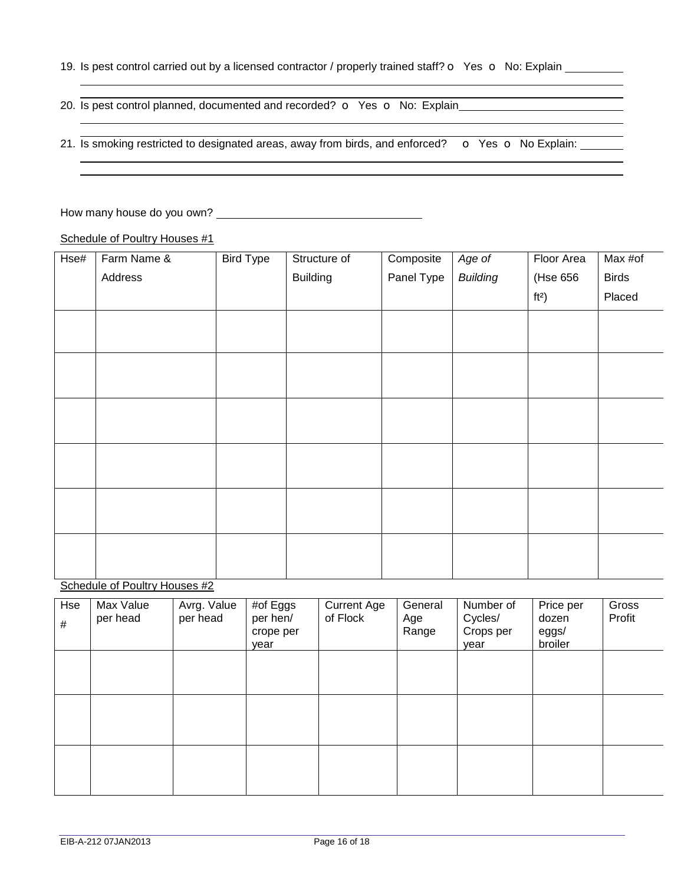19. Is pest control carried out by a licensed contractor / properly trained staff?  $\circ$  Yes  $\circ$  No: Explain \_\_\_\_\_\_

 20. Is pest control planned, documented and recorded?  $\sigma$  Yes  $\sigma$  No: Explain

 21. Is smoking restricted to designated areas, away from birds, and enforced?  $\bullet$  Yes  $\bullet$  No Explain:

How many house do you own?

 

Schedule of Poultry Houses #1

| Hse# | Farm Name & | <b>Bird Type</b> | Structure of    | Composite  | Age of          | Floor Area | Max #of      |
|------|-------------|------------------|-----------------|------------|-----------------|------------|--------------|
|      | Address     |                  | <b>Building</b> | Panel Type | <b>Building</b> | (Hse 656   | <b>Birds</b> |
|      |             |                  |                 |            |                 | $ft2$ )    | Placed       |
|      |             |                  |                 |            |                 |            |              |
|      |             |                  |                 |            |                 |            |              |
|      |             |                  |                 |            |                 |            |              |
|      |             |                  |                 |            |                 |            |              |
|      |             |                  |                 |            |                 |            |              |
|      |             |                  |                 |            |                 |            |              |
|      |             |                  |                 |            |                 |            |              |
|      |             |                  |                 |            |                 |            |              |
|      |             |                  |                 |            |                 |            |              |
|      |             |                  |                 |            |                 |            |              |
|      |             |                  |                 |            |                 |            |              |
|      |             |                  |                 |            |                 |            |              |

Schedule of Poultry Houses #2

| Hse<br>$\#$ | Max Value<br>per head | Avrg. Value<br>per head | $#$ of Eggs<br>per hen/<br>crope per<br>vear | <b>Current Age</b><br>of Flock | General<br>Age<br>Range | Number of<br>Cycles/<br>Crops per<br>vear | Price per<br>dozen<br>eggs/<br>broiler | Gross<br>Profit |
|-------------|-----------------------|-------------------------|----------------------------------------------|--------------------------------|-------------------------|-------------------------------------------|----------------------------------------|-----------------|
|             |                       |                         |                                              |                                |                         |                                           |                                        |                 |
|             |                       |                         |                                              |                                |                         |                                           |                                        |                 |
|             |                       |                         |                                              |                                |                         |                                           |                                        |                 |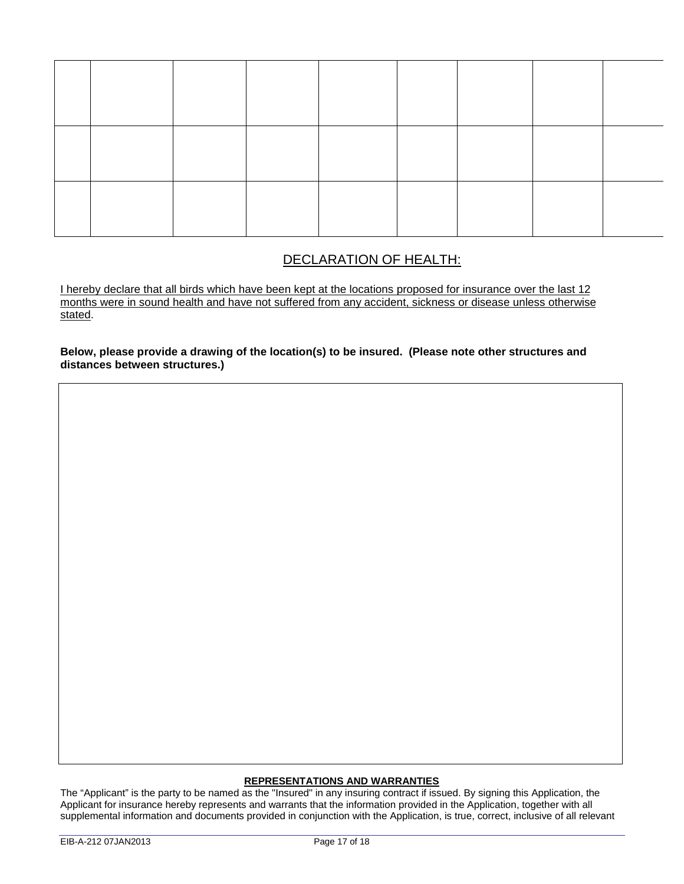# DECLARATION OF HEALTH:

I hereby declare that all birds which have been kept at the locations proposed for insurance over the last 12 months were in sound health and have not suffered from any accident, sickness or disease unless otherwise stated.

**Below, please provide a drawing of the location(s) to be insured. (Please note other structures and distances between structures.)** 

### **REPRESENTATIONS AND WARRANTIES**

The "Applicant" is the party to be named as the "Insured" in any insuring contract if issued. By signing this Application, the Applicant for insurance hereby represents and warrants that the information provided in the Application, together with all supplemental information and documents provided in conjunction with the Application, is true, correct, inclusive of all relevant